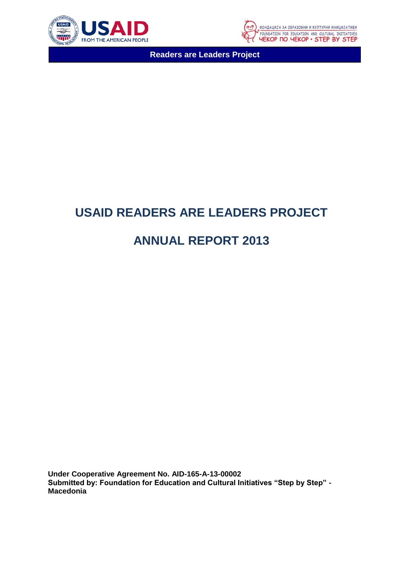



# **USAID READERS ARE LEADERS PROJECT**

# **ANNUAL REPORT 2013**

**Under Cooperative Agreement No. AID-165-A-13-00002 Submitted by: Foundation for Education and Cultural Initiatives "Step by Step" - Macedonia**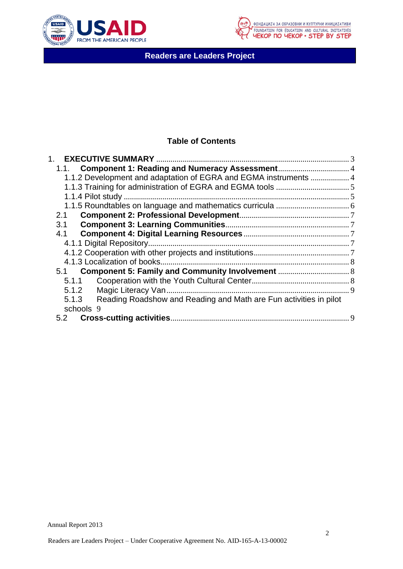



# **Table of Contents**

| 1.1. Component 1: Reading and Numeracy Assessment 4                        |  |
|----------------------------------------------------------------------------|--|
| 1.1.2 Development and adaptation of EGRA and EGMA instruments  4           |  |
|                                                                            |  |
|                                                                            |  |
|                                                                            |  |
| 2.1                                                                        |  |
| 3.1                                                                        |  |
| 4.1                                                                        |  |
|                                                                            |  |
|                                                                            |  |
|                                                                            |  |
|                                                                            |  |
| 5.1.1                                                                      |  |
| 5.1.2                                                                      |  |
| Reading Roadshow and Reading and Math are Fun activities in pilot<br>5.1.3 |  |
| schools 9                                                                  |  |
| 5.2                                                                        |  |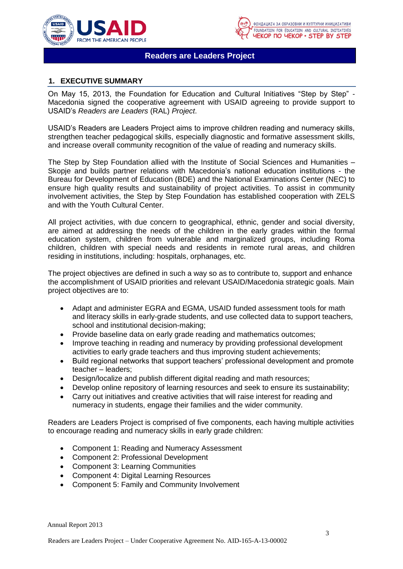



# <span id="page-2-0"></span>**1. EXECUTIVE SUMMARY**

On May 15, 2013, the Foundation for Education and Cultural Initiatives "Step by Step" - Macedonia signed the cooperative agreement with USAID agreeing to provide support to USAID's *Readers are Leaders* (RAL) *Project*.

USAID's Readers are Leaders Project aims to improve children reading and numeracy skills, strengthen teacher pedagogical skills, especially diagnostic and formative assessment skills, and increase overall community recognition of the value of reading and numeracy skills.

The Step by Step Foundation allied with the Institute of Social Sciences and Humanities – Skopje and builds partner relations with Macedonia's national education institutions - the Bureau for Development of Education (BDE) and the National Examinations Center (NEC) to ensure high quality results and sustainability of project activities. To assist in community involvement activities, the Step by Step Foundation has established cooperation with ZELS and with the Youth Cultural Center.

All project activities, with due concern to geographical, ethnic, gender and social diversity, are aimed at addressing the needs of the children in the early grades within the formal education system, children from vulnerable and marginalized groups, including Roma children, children with special needs and residents in remote rural areas, and children residing in institutions, including: hospitals, orphanages, etc.

The project objectives are defined in such a way so as to contribute to, support and enhance the accomplishment of USAID priorities and relevant USAID/Macedonia strategic goals. Main project objectives are to:

- Adapt and administer EGRA and EGMA, USAID funded assessment tools for math and literacy skills in early-grade students, and use collected data to support teachers, school and institutional decision-making;
- Provide baseline data on early grade reading and mathematics outcomes;
- Improve teaching in reading and numeracy by providing professional development activities to early grade teachers and thus improving student achievements;
- Build regional networks that support teachers' professional development and promote teacher – leaders;
- Design/localize and publish different digital reading and math resources;
- Develop online repository of learning resources and seek to ensure its sustainability;
- Carry out initiatives and creative activities that will raise interest for reading and numeracy in students, engage their families and the wider community.

Readers are Leaders Project is comprised of five components, each having multiple activities to encourage reading and numeracy skills in early grade children:

- Component 1: Reading and Numeracy Assessment
- Component 2: Professional Development
- Component 3: Learning Communities
- Component 4: Digital Learning Resources
- Component 5: Family and Community Involvement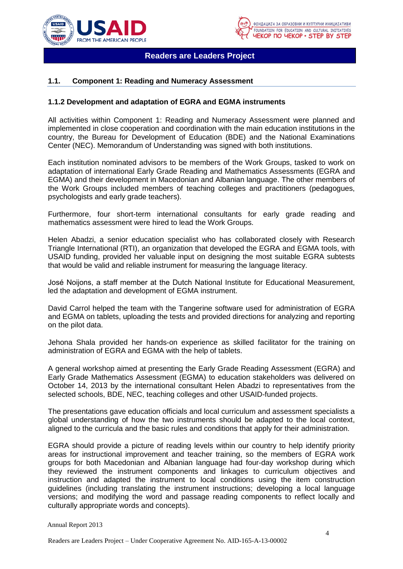



## <span id="page-3-0"></span>**1.1. Component 1: Reading and Numeracy Assessment**

#### <span id="page-3-1"></span>**1.1.2 Development and adaptation of EGRA and EGMA instruments**

All activities within Component 1: Reading and Numeracy Assessment were planned and implemented in close cooperation and coordination with the main education institutions in the country, the Bureau for Development of Education (BDE) and the National Examinations Center (NEC). Memorandum of Understanding was signed with both institutions.

Each institution nominated advisors to be members of the Work Groups, tasked to work on adaptation of international Early Grade Reading and Mathematics Assessments (EGRA and EGMA) and their development in Macedonian and Albanian language. The other members of the Work Groups included members of teaching colleges and practitioners (pedagogues, psychologists and early grade teachers).

Furthermore, four short-term international consultants for early grade reading and mathematics assessment were hired to lead the Work Groups.

Helen Abadzi, a senior education specialist who has collaborated closely with Research Triangle International (RTI), an organization that developed the EGRA and EGMA tools, with USAID funding, provided her valuable input on designing the most suitable EGRA subtests that would be valid and reliable instrument for measuring the language literacy.

José Noijons, a staff member at the Dutch National Institute for Educational Measurement, led the adaptation and development of EGMA instrument.

David Carrol helped the team with the Tangerine software used for administration of EGRA and EGMA on tablets, uploading the tests and provided directions for analyzing and reporting on the pilot data.

Jehona Shala provided her hands-on experience as skilled facilitator for the training on administration of EGRA and EGMA with the help of tablets.

A general workshop aimed at presenting the Early Grade Reading Assessment (EGRA) and Early Grade Mathematics Assessment (EGMA) to education stakeholders was delivered on October 14, 2013 by the international consultant Helen Abadzi to representatives from the selected schools, BDE, NEC, teaching colleges and other USAID-funded projects.

The presentations gave education officials and local curriculum and assessment specialists a global understanding of how the two instruments should be adapted to the local context, aligned to the curricula and the basic rules and conditions that apply for their administration.

EGRA should provide a picture of reading levels within our country to help identify priority areas for instructional improvement and teacher training, so the members of EGRA work groups for both Macedonian and Albanian language had four-day workshop during which they reviewed the instrument components and linkages to curriculum objectives and instruction and adapted the instrument to local conditions using the item construction guidelines (including translating the instrument instructions; developing a local language versions; and modifying the word and passage reading components to reflect locally and culturally appropriate words and concepts).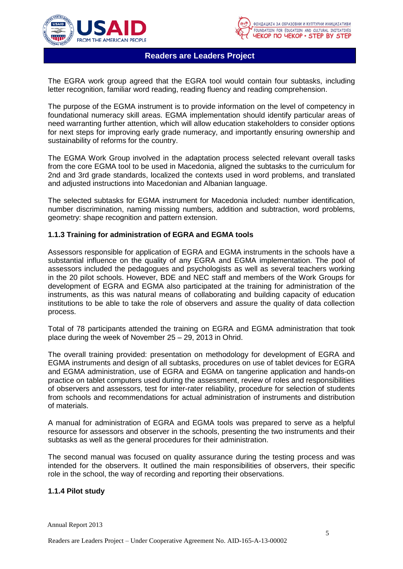



The EGRA work group agreed that the EGRA tool would contain four subtasks, including letter recognition, familiar word reading, reading fluency and reading comprehension.

The purpose of the EGMA instrument is to provide information on the level of competency in foundational numeracy skill areas. EGMA implementation should identify particular areas of need warranting further attention, which will allow education stakeholders to consider options for next steps for improving early grade numeracy, and importantly ensuring ownership and sustainability of reforms for the country.

The EGMA Work Group involved in the adaptation process selected relevant overall tasks from the core EGMA tool to be used in Macedonia, aligned the subtasks to the curriculum for 2nd and 3rd grade standards, localized the contexts used in word problems, and translated and adjusted instructions into Macedonian and Albanian language.

The selected subtasks for EGMA instrument for Macedonia included: number identification, number discrimination, naming missing numbers, addition and subtraction, word problems, geometry: shape recognition and pattern extension.

## <span id="page-4-0"></span>**1.1.3 Training for administration of EGRA and EGMA tools**

Assessors responsible for application of EGRA and EGMA instruments in the schools have a substantial influence on the quality of any EGRA and EGMA implementation. The pool of assessors included the pedagogues and psychologists as well as several teachers working in the 20 pilot schools. However, BDE and NEC staff and members of the Work Groups for development of EGRA and EGMA also participated at the training for administration of the instruments, as this was natural means of collaborating and building capacity of education institutions to be able to take the role of observers and assure the quality of data collection process.

Total of 78 participants attended the training on EGRA and EGMA administration that took place during the week of November 25 – 29, 2013 in Ohrid.

The overall training provided: presentation on methodology for development of EGRA and EGMA instruments and design of all subtasks, procedures on use of tablet devices for EGRA and EGMA administration, use of EGRA and EGMA on tangerine application and hands-on practice on tablet computers used during the assessment, review of roles and responsibilities of observers and assessors, test for inter-rater reliability, procedure for selection of students from schools and recommendations for actual administration of instruments and distribution of materials.

A manual for administration of EGRA and EGMA tools was prepared to serve as a helpful resource for assessors and observer in the schools, presenting the two instruments and their subtasks as well as the general procedures for their administration.

The second manual was focused on quality assurance during the testing process and was intended for the observers. It outlined the main responsibilities of observers, their specific role in the school, the way of recording and reporting their observations.

### <span id="page-4-1"></span>**1.1.4 Pilot study**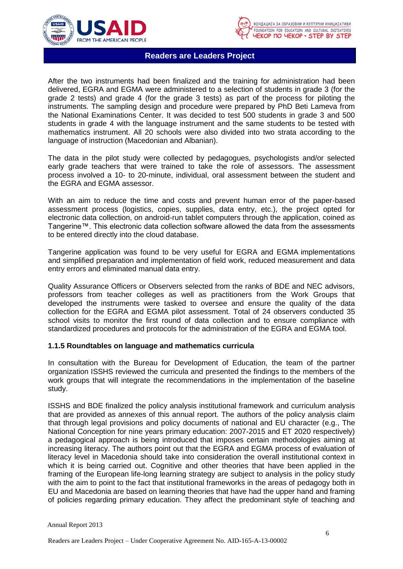



After the two instruments had been finalized and the training for administration had been delivered, EGRA and EGMA were administered to a selection of students in grade 3 (for the grade 2 tests) and grade 4 (for the grade 3 tests) as part of the process for piloting the instruments. The sampling design and procedure were prepared by PhD Beti Lameva from the National Examinations Center. It was decided to test 500 students in grade 3 and 500 students in grade 4 with the language instrument and the same students to be tested with mathematics instrument. All 20 schools were also divided into two strata according to the language of instruction (Macedonian and Albanian).

The data in the pilot study were collected by pedagogues, psychologists and/or selected early grade teachers that were trained to take the role of assessors. The assessment process involved a 10- to 20-minute, individual, oral assessment between the student and the EGRA and EGMA assessor.

With an aim to reduce the time and costs and prevent human error of the paper-based assessment process (logistics, copies, supplies, data entry, etc.), the project opted for electronic data collection, on android-run tablet computers through the application, coined as Tangerine™. This electronic data collection software allowed the data from the assessments to be entered directly into the cloud database.

Tangerine application was found to be very useful for EGRA and EGMA implementations and simplified preparation and implementation of field work, reduced measurement and data entry errors and eliminated manual data entry.

Quality Assurance Officers or Observers selected from the ranks of BDE and NEC advisors, professors from teacher colleges as well as practitioners from the Work Groups that developed the instruments were tasked to oversee and ensure the quality of the data collection for the EGRA and EGMA pilot assessment. Total of 24 observers conducted 35 school visits to monitor the first round of data collection and to ensure compliance with standardized procedures and protocols for the administration of the EGRA and EGMA tool.

## <span id="page-5-0"></span>**1.1.5 Roundtables on language and mathematics curricula**

In consultation with the Bureau for Development of Education, the team of the partner organization ISSHS reviewed the curricula and presented the findings to the members of the work groups that will integrate the recommendations in the implementation of the baseline study.

ISSHS and BDE finalized the policy analysis institutional framework and curriculum analysis that are provided as annexes of this annual report. The authors of the policy analysis claim that through legal provisions and policy documents of national and EU character (e.g., The National Conception for nine years primary education: 2007-2015 and ET 2020 respectively) a pedagogical approach is being introduced that imposes certain methodologies aiming at increasing literacy. The authors point out that the EGRA and EGMA process of evaluation of literacy level in Macedonia should take into consideration the overall institutional context in which it is being carried out. Cognitive and other theories that have been applied in the framing of the European life-long learning strategy are subject to analysis in the policy study with the aim to point to the fact that institutional frameworks in the areas of pedagogy both in EU and Macedonia are based on learning theories that have had the upper hand and framing of policies regarding primary education. They affect the predominant style of teaching and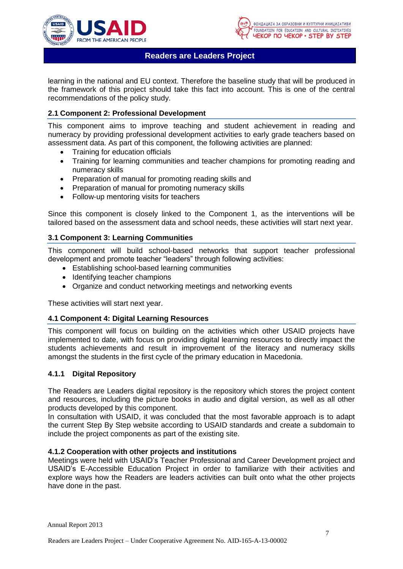



learning in the national and EU context. Therefore the baseline study that will be produced in the framework of this project should take this fact into account. This is one of the central recommendations of the policy study.

## <span id="page-6-0"></span>**2.1 Component 2: Professional Development**

This component aims to improve teaching and student achievement in reading and numeracy by providing professional development activities to early grade teachers based on assessment data. As part of this component, the following activities are planned:

- Training for education officials
- Training for learning communities and teacher champions for promoting reading and numeracy skills
- Preparation of manual for promoting reading skills and
- Preparation of manual for promoting numeracy skills
- Follow-up mentoring visits for teachers

Since this component is closely linked to the Component 1, as the interventions will be tailored based on the assessment data and school needs, these activities will start next year.

## <span id="page-6-1"></span>**3.1 Component 3: Learning Communities**

This component will build school-based networks that support teacher professional development and promote teacher "leaders" through following activities:

- Establishing school-based learning communities
- Identifying teacher champions
- Organize and conduct networking meetings and networking events

These activities will start next year.

#### <span id="page-6-2"></span>**4.1 Component 4: Digital Learning Resources**

This component will focus on building on the activities which other USAID projects have implemented to date, with focus on providing digital learning resources to directly impact the students achievements and result in improvement of the literacy and numeracy skills amongst the students in the first cycle of the primary education in Macedonia.

#### <span id="page-6-3"></span>**4.1.1 Digital Repository**

The Readers are Leaders digital repository is the repository which stores the project content and resources, including the picture books in audio and digital version, as well as all other products developed by this component.

In consultation with USAID, it was concluded that the most favorable approach is to adapt the current Step By Step website according to USAID standards and create a subdomain to include the project components as part of the existing site.

#### <span id="page-6-4"></span>**4.1.2 Cooperation with other projects and institutions**

Meetings were held with USAID's Teacher Professional and Career Development project and USAID's E-Accessible Education Project in order to familiarize with their activities and explore ways how the Readers are leaders activities can built onto what the other projects have done in the past.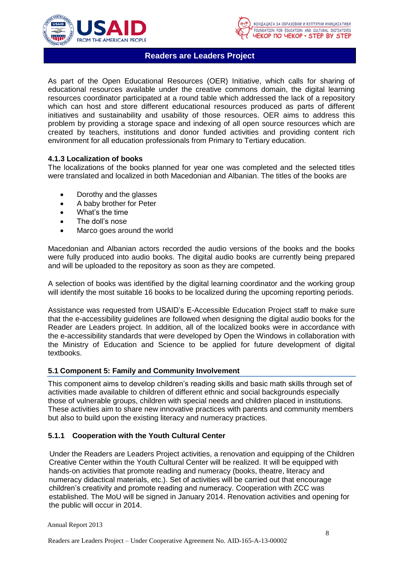



As part of the Open Educational Resources (OER) Initiative, which calls for sharing of educational resources available under the creative commons domain, the digital learning resources coordinator participated at a round table which addressed the lack of a repository which can host and store different educational resources produced as parts of different initiatives and sustainability and usability of those resources. OER aims to address this problem by providing a storage space and indexing of all open source resources which are created by teachers, institutions and donor funded activities and providing content rich environment for all education professionals from Primary to Tertiary education.

## <span id="page-7-0"></span>**4.1.3 Localization of books**

The localizations of the books planned for year one was completed and the selected titles were translated and localized in both Macedonian and Albanian. The titles of the books are

- Dorothy and the glasses
- A baby brother for Peter
- What's the time
- The doll's nose
- Marco goes around the world

Macedonian and Albanian actors recorded the audio versions of the books and the books were fully produced into audio books. The digital audio books are currently being prepared and will be uploaded to the repository as soon as they are competed.

A selection of books was identified by the digital learning coordinator and the working group will identify the most suitable 16 books to be localized during the upcoming reporting periods.

Assistance was requested from USAID's E-Accessible Education Project staff to make sure that the e-accessibility guidelines are followed when designing the digital audio books for the Reader are Leaders project. In addition, all of the localized books were in accordance with the e-accessibility standards that were developed by Open the Windows in collaboration with the Ministry of Education and Science to be applied for future development of digital textbooks.

#### <span id="page-7-1"></span>**5.1 Component 5: Family and Community Involvement**

This component aims to develop children's reading skills and basic math skills through set of activities made available to children of different ethnic and social backgrounds especially those of vulnerable groups, children with special needs and children placed in institutions. These activities aim to share new innovative practices with parents and community members but also to build upon the existing literacy and numeracy practices.

## <span id="page-7-2"></span>**5.1.1 Cooperation with the Youth Cultural Center**

Under the Readers are Leaders Project activities, a renovation and equipping of the Children Creative Center within the Youth Cultural Center will be realized. It will be equipped with hands-on activities that promote reading and numeracy (books, theatre, literacy and numeracy didactical materials, etc.). Set of activities will be carried out that encourage children's creativity and promote reading and numeracy. Cooperation with ZCC was established. The MoU will be signed in January 2014. Renovation activities and opening for the public will occur in 2014.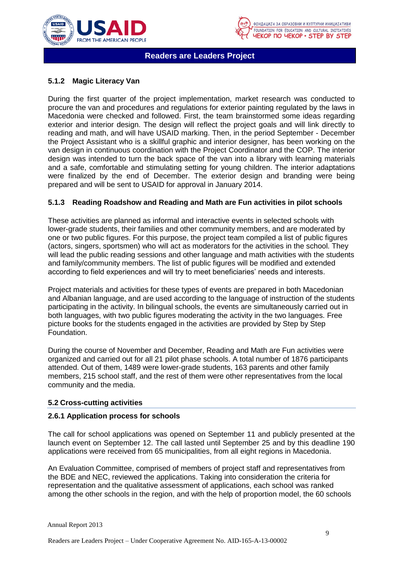



# <span id="page-8-0"></span>**5.1.2 Magic Literacy Van**

During the first quarter of the project implementation, market research was conducted to procure the van and procedures and regulations for exterior painting regulated by the laws in Macedonia were checked and followed. First, the team brainstormed some ideas regarding exterior and interior design. The design will reflect the project goals and will link directly to reading and math, and will have USAID marking. Then, in the period September - December the Project Assistant who is a skillful graphic and interior designer, has been working on the van design in continuous coordination with the Project Coordinator and the COP. The interior design was intended to turn the back space of the van into a library with learning materials and a safe, comfortable and stimulating setting for young children. The interior adaptations were finalized by the end of December. The exterior design and branding were being prepared and will be sent to USAID for approval in January 2014.

## <span id="page-8-1"></span>**5.1.3 Reading Roadshow and Reading and Math are Fun activities in pilot schools**

These activities are planned as informal and interactive events in selected schools with lower-grade students, their families and other community members, and are moderated by one or two public figures. For this purpose, the project team compiled a list of public figures (actors, singers, sportsmen) who will act as moderators for the activities in the school. They will lead the public reading sessions and other language and math activities with the students and family/community members. The list of public figures will be modified and extended according to field experiences and will try to meet beneficiaries' needs and interests.

Project materials and activities for these types of events are prepared in both Macedonian and Albanian language, and are used according to the language of instruction of the students participating in the activity. In bilingual schools, the events are simultaneously carried out in both languages, with two public figures moderating the activity in the two languages. Free picture books for the students engaged in the activities are provided by Step by Step Foundation.

During the course of November and December, Reading and Math are Fun activities were organized and carried out for all 21 pilot phase schools. A total number of 1876 participants attended. Out of them, 1489 were lower-grade students, 163 parents and other family members, 215 school staff, and the rest of them were other representatives from the local community and the media.

## <span id="page-8-2"></span>**5.2 Cross-cutting activities**

#### **2.6.1 Application process for schools**

The call for school applications was opened on September 11 and publicly presented at the launch event on September 12. The call lasted until September 25 and by this deadline 190 applications were received from 65 municipalities, from all eight regions in Macedonia.

An Evaluation Committee, comprised of members of project staff and representatives from the BDE and NEC, reviewed the applications. Taking into consideration the criteria for representation and the qualitative assessment of applications, each school was ranked among the other schools in the region, and with the help of proportion model, the 60 schools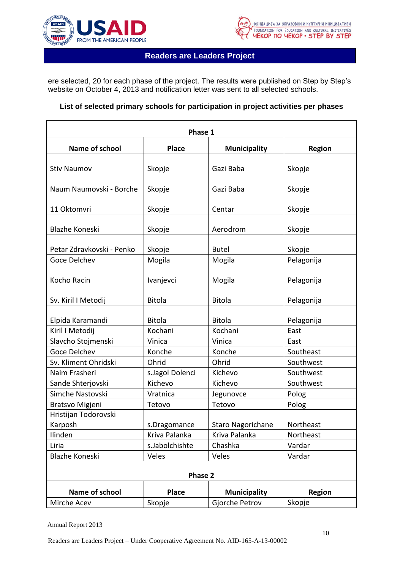



ere selected, 20 for each phase of the project. The results were published on Step by Step's website on October 4, 2013 and notification letter was sent to all selected schools.

## **List of selected primary schools for participation in project activities per phases**

| Phase 1                   |                 |                     |               |  |
|---------------------------|-----------------|---------------------|---------------|--|
| Name of school            | <b>Place</b>    | <b>Municipality</b> | <b>Region</b> |  |
| <b>Stiv Naumov</b>        | Skopje          | Gazi Baba           | Skopje        |  |
|                           |                 |                     |               |  |
| Naum Naumovski - Borche   | Skopje          | Gazi Baba           | Skopje        |  |
| 11 Oktomvri               | Skopje          | Centar              | Skopje        |  |
| Blazhe Koneski            | Skopje          | Aerodrom            | Skopje        |  |
| Petar Zdravkovski - Penko | Skopje          | <b>Butel</b>        | Skopje        |  |
| Goce Delchev              | Mogila          | Mogila              | Pelagonija    |  |
| Kocho Racin               | Ivanjevci       | Mogila              | Pelagonija    |  |
| Sv. Kiril I Metodij       | <b>Bitola</b>   | <b>Bitola</b>       | Pelagonija    |  |
| Elpida Karamandi          | <b>Bitola</b>   | <b>Bitola</b>       | Pelagonija    |  |
| Kiril I Metodij           | Kochani         | Kochani             | East          |  |
| Slavcho Stojmenski        | Vinica          | Vinica              | East          |  |
| <b>Goce Delchev</b>       | Konche          | Konche              | Southeast     |  |
| Sv. Kliment Ohridski      | Ohrid           | Ohrid               | Southwest     |  |
| Naim Frasheri             | s.Jagol Dolenci | Kichevo             | Southwest     |  |
| Sande Shterjovski         | Kichevo         | Kichevo             | Southwest     |  |
| Simche Nastovski          | Vratnica        | Jegunovce           | Polog         |  |
| Bratsvo Migjeni           | Tetovo          | Tetovo              | Polog         |  |
| Hristijan Todorovski      |                 |                     |               |  |
| Karposh                   | s.Dragomance    | Staro Nagorichane   | Northeast     |  |
| Ilinden                   | Kriva Palanka   | Kriva Palanka       | Northeast     |  |
| Liria                     | s.Jabolchishte  | Chashka             | Vardar        |  |
| Blazhe Koneski            | Veles           | Veles               | Vardar        |  |
| Phase 2                   |                 |                     |               |  |
| Name of school            | <b>Place</b>    | <b>Municipality</b> | <b>Region</b> |  |
| Mirche Acev               | Skopje          | Gjorche Petrov      | Skopje        |  |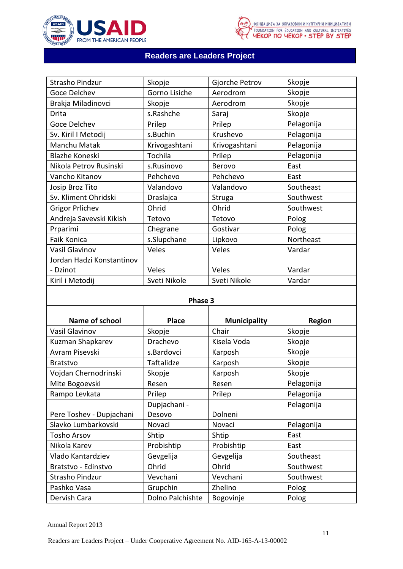



| Strasho Pindzur           | Skopje        | Gjorche Petrov | Skopje     |
|---------------------------|---------------|----------------|------------|
| Goce Delchev              | Gorno Lisiche | Aerodrom       | Skopje     |
| Brakja Miladinovci        | Skopje        | Aerodrom       | Skopje     |
| Drita                     | s.Rashche     | Saraj          | Skopje     |
| Goce Delchev              | Prilep        | Prilep         | Pelagonija |
| Sv. Kiril I Metodij       | s.Buchin      | Krushevo       | Pelagonija |
| Manchu Matak              | Krivogashtani | Krivogashtani  | Pelagonija |
| Blazhe Koneski            | Tochila       | Prilep         | Pelagonija |
| Nikola Petrov Rusinski    | s.Rusinovo    | Berovo         | East       |
| Vancho Kitanov            | Pehchevo      | Pehchevo       | East       |
| Josip Broz Tito           | Valandovo     | Valandovo      | Southeast  |
| Sv. Kliment Ohridski      | Draslajca     | <b>Struga</b>  | Southwest  |
| <b>Grigor Prlichev</b>    | Ohrid         | Ohrid          | Southwest  |
| Andreja Savevski Kikish   | Tetovo        | Tetovo         | Polog      |
| Prparimi                  | Chegrane      | Gostivar       | Polog      |
| Faik Konica               | s.Slupchane   | Lipkovo        | Northeast  |
| Vasil Glavinov            | Veles         | Veles          | Vardar     |
| Jordan Hadzi Konstantinov |               |                |            |
| - Dzinot                  | Veles         | Veles          | Vardar     |
| Kiril i Metodij           | Sveti Nikole  | Sveti Nikole   | Vardar     |

# **Phase 3**

| Name of school           | <b>Place</b>     | <b>Municipality</b> | <b>Region</b> |
|--------------------------|------------------|---------------------|---------------|
| Vasil Glavinov           | Skopje           | Chair               | Skopje        |
| Kuzman Shapkarev         | Drachevo         | Kisela Voda         | Skopje        |
| Avram Pisevski           | s.Bardovci       | Karposh             | Skopje        |
| <b>Bratstvo</b>          | Taftalidze       | Karposh             | Skopje        |
| Vojdan Chernodrinski     | Skopje           | Karposh             | Skopje        |
| Mite Bogoevski           | Resen            | Resen               | Pelagonija    |
| Rampo Levkata            | Prilep           | Prilep              | Pelagonija    |
|                          | Dupjachani -     |                     | Pelagonija    |
| Pere Toshev - Dupjachani | Desovo           | Dolneni             |               |
| Slavko Lumbarkovski      | Novaci           | Novaci              | Pelagonija    |
| <b>Tosho Arsov</b>       | Shtip            | Shtip               | East          |
| Nikola Karev             | Probishtip       | Probishtip          | East          |
| Vlado Kantardziev        | Gevgelija        | Gevgelija           | Southeast     |
| Bratstvo - Edinstvo      | Ohrid            | Ohrid               | Southwest     |
| Strasho Pindzur          | Vevchani         | Vevchani            | Southwest     |
| Pashko Vasa              | Grupchin         | Zhelino             | Polog         |
| Dervish Cara             | Dolno Palchishte | Bogovinje           | Polog         |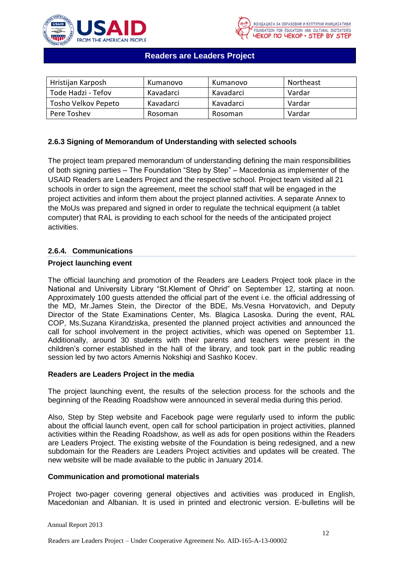



| Hristijan Karposh   | Kumanovo  | Kumanovo  | <b>Northeast</b> |
|---------------------|-----------|-----------|------------------|
| Tode Hadzi - Tefov  | Kavadarci | Kavadarci | Vardar           |
| Tosho Velkov Pepeto | Kavadarci | Kavadarci | Vardar           |
| Pere Toshev         | Rosoman   | Rosoman   | Vardar           |

## **2.6.3 Signing of Memorandum of Understanding with selected schools**

The project team prepared memorandum of understanding defining the main responsibilities of both signing parties – The Foundation "Step by Step" – Macedonia as implementer of the USAID Readers are Leaders Project and the respective school. Project team visited all 21 schools in order to sign the agreement, meet the school staff that will be engaged in the project activities and inform them about the project planned activities. A separate Annex to the MoUs was prepared and signed in order to regulate the technical equipment (a tablet computer) that RAL is providing to each school for the needs of the anticipated project activities.

## **2.6.4. Communications**

## **Project launching event**

The official launching and promotion of the Readers are Leaders Project took place in the National and University Library "St.Klement of Ohrid" on September 12, starting at noon. Approximately 100 guests attended the official part of the event i.e. the official addressing of the MD, Mr.James Stein, the Director of the BDE, Ms.Vesna Horvatovich, and Deputy Director of the State Examinations Center, Ms. Blagica Lasoska. During the event, RAL COP, Ms.Suzana Kirandziska, presented the planned project activities and announced the call for school involvement in the project activities, which was opened on September 11. Additionally, around 30 students with their parents and teachers were present in the children's corner established in the hall of the library, and took part in the public reading session led by two actors Amernis Nokshiqi and Sashko Kocev.

#### **Readers are Leaders Project in the media**

The project launching event, the results of the selection process for the schools and the beginning of the Reading Roadshow were announced in several media during this period.

Also, Step by Step website and Facebook page were regularly used to inform the public about the official launch event, open call for school participation in project activities, planned activities within the Reading Roadshow, as well as ads for open positions within the Readers are Leaders Project. The existing website of the Foundation is being redesigned, and a new subdomain for the Readers are Leaders Project activities and updates will be created. The new website will be made available to the public in January 2014.

### **Communication and promotional materials**

Project two-pager covering general objectives and activities was produced in English, Macedonian and Albanian. It is used in printed and electronic version. E-bulletins will be